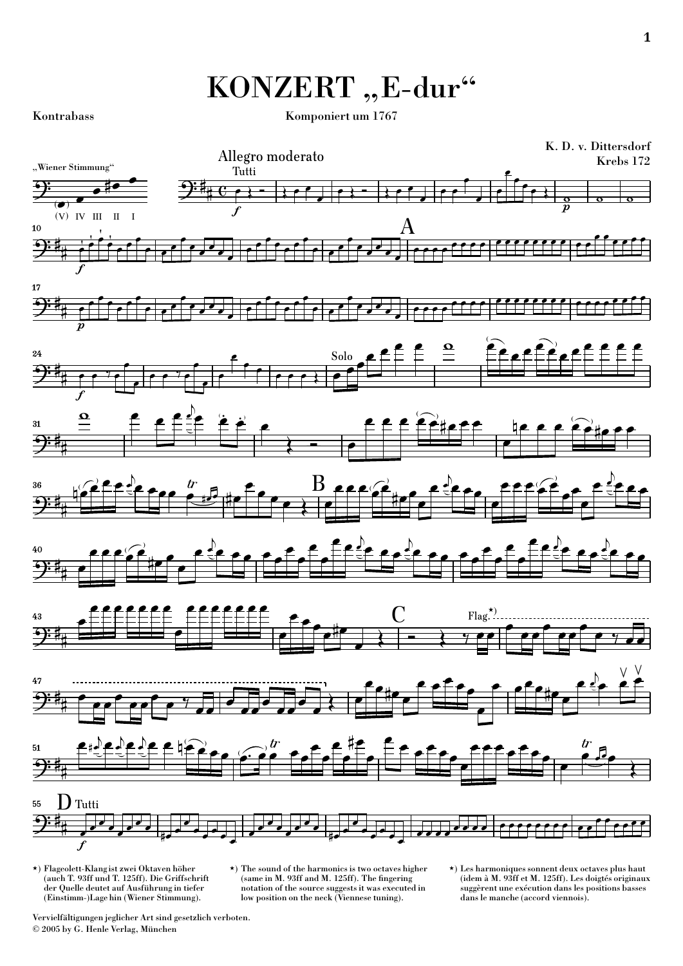## KONZERT "E-dur"

Kontrabass Komponiert um 1767



★) Flageolett-Klang ist zwei Oktaven höher (auch T. 93ff und T. 125ff). Die Griffschrift der Quelle deutet auf Ausführung in tiefer (Einstimm-)Lage hin (Wiener Stimmung).

★) The sound of the harmonics is two octaves higher (same in M. 93ff and M. 125ff). The fingering notation of the source suggests it was executed in low position on the neck (Viennese tuning).

★) Les harmoniques sonnent deux octaves plus haut (idem à M. 93ff et M. 125ff). Les doigtés originaux suggèrent une exécution dans les positions basses dans le manche (accord viennois).

Vervielfältigungen jeglicher Art sind gesetzlich verboten. © 2005 by G. Henle Verlag, München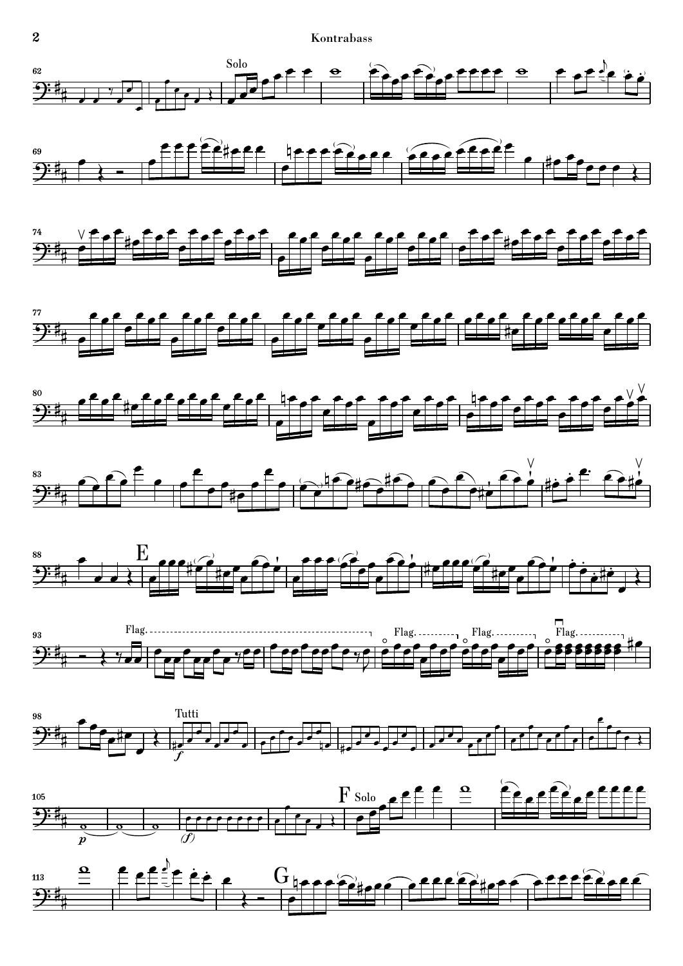## 2 Kontrabass





















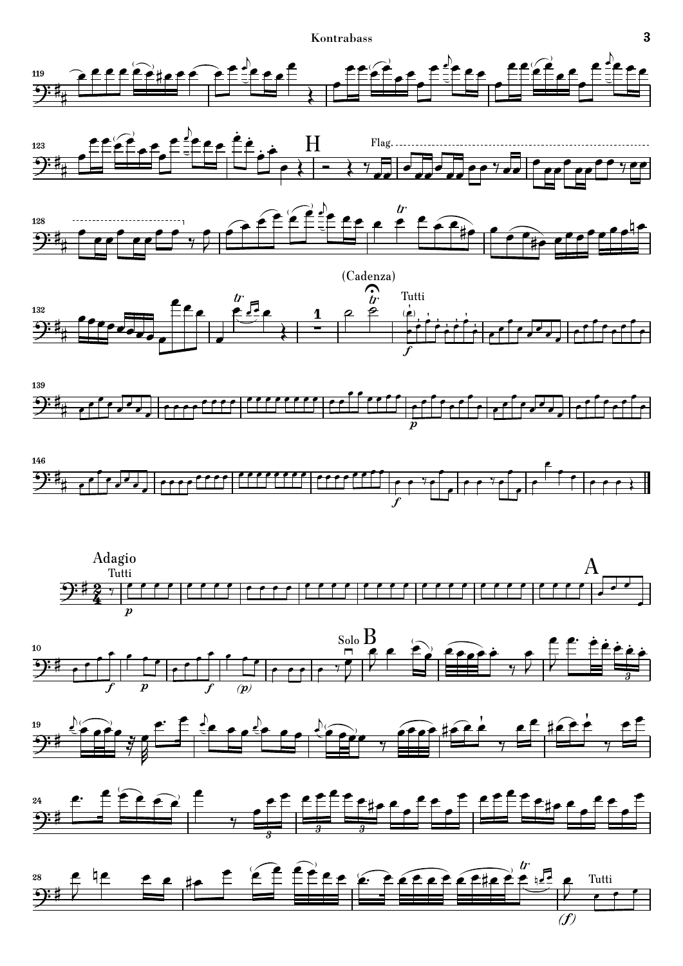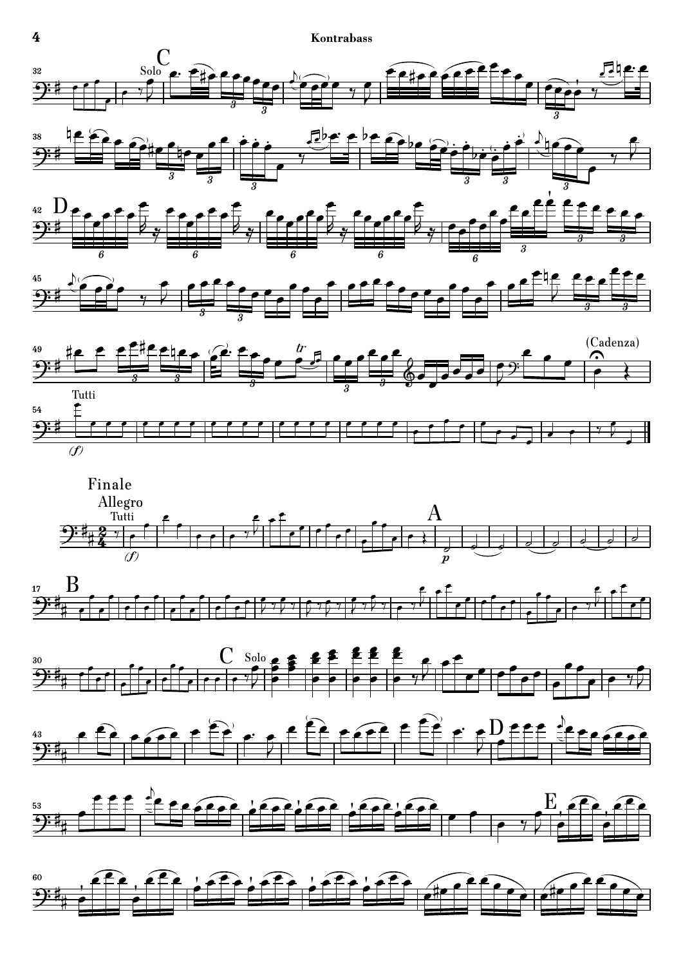## Kontrabass























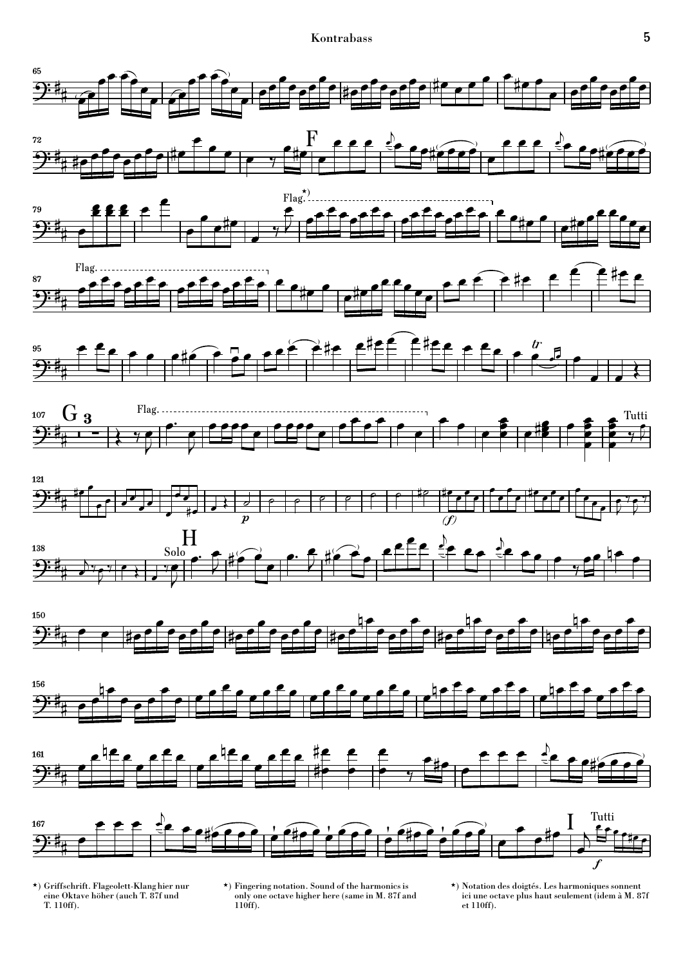Kontrabass



★) Griffschrift. Flageolett-Klang hier nur eine Oktave höher (auch T. 87f und T. 110ff).

★) Fingering notation. Sound of the harmonics is only one octave higher here (same in M. 87f and 110ff).

★) Notation des doigtés. Les harmoniques sonnent ici une octave plus haut seulement (idem à M. 87f et 110ff).